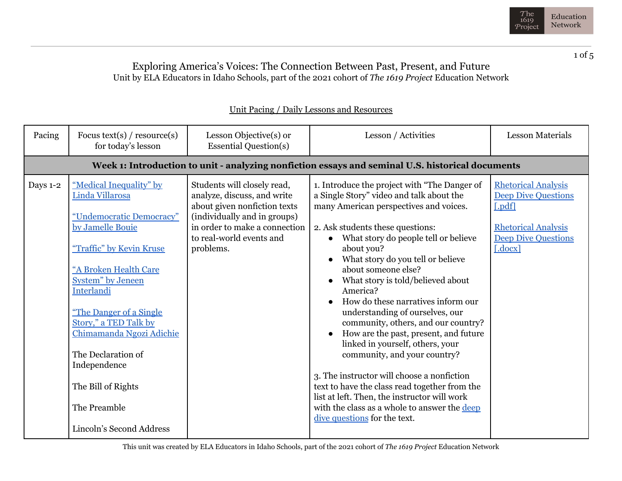

## Exploring America's Voices: The Connection Between Past, Present, and Future Unit by ELA Educators in Idaho Schools, part of the 2021 cohort of *The 1619 Project* Education Network

| Pacing   | Focus text(s) / $resource(s)$<br>for today's lesson                                                                                                                                                                                                                                                                                                                                 | Lesson Objective(s) or<br><b>Essential Question(s)</b>                                                                                                                                               | Lesson / Activities                                                                                                                                                                                                                                                                                                                                                                                                                                                                                                                                                                                                                                                                                                                                                                                   | <b>Lesson Materials</b>                                                                                                                   |  |
|----------|-------------------------------------------------------------------------------------------------------------------------------------------------------------------------------------------------------------------------------------------------------------------------------------------------------------------------------------------------------------------------------------|------------------------------------------------------------------------------------------------------------------------------------------------------------------------------------------------------|-------------------------------------------------------------------------------------------------------------------------------------------------------------------------------------------------------------------------------------------------------------------------------------------------------------------------------------------------------------------------------------------------------------------------------------------------------------------------------------------------------------------------------------------------------------------------------------------------------------------------------------------------------------------------------------------------------------------------------------------------------------------------------------------------------|-------------------------------------------------------------------------------------------------------------------------------------------|--|
|          | Week 1: Introduction to unit - analyzing nonfiction essays and seminal U.S. historical documents                                                                                                                                                                                                                                                                                    |                                                                                                                                                                                                      |                                                                                                                                                                                                                                                                                                                                                                                                                                                                                                                                                                                                                                                                                                                                                                                                       |                                                                                                                                           |  |
| Days 1-2 | "Medical Inequality" by<br>Linda Villarosa<br>"Undemocratic Democracy"<br>by Jamelle Bouie<br>"Traffic" by Kevin Kruse<br>"A Broken Health Care<br><b>System</b> " by Jeneen<br>Interlandi<br>"The Danger of a Single"<br>Story," a TED Talk by<br>Chimamanda Ngozi Adichie<br>The Declaration of<br>Independence<br>The Bill of Rights<br>The Preamble<br>Lincoln's Second Address | Students will closely read,<br>analyze, discuss, and write<br>about given nonfiction texts<br>(individually and in groups)<br>in order to make a connection<br>to real-world events and<br>problems. | 1. Introduce the project with "The Danger of<br>a Single Story" video and talk about the<br>many American perspectives and voices.<br>2. Ask students these questions:<br>What story do people tell or believe<br>about you?<br>What story do you tell or believe<br>about someone else?<br>What story is told/believed about<br>America?<br>How do these narratives inform our<br>understanding of ourselves, our<br>community, others, and our country?<br>How are the past, present, and future<br>linked in yourself, others, your<br>community, and your country?<br>3. The instructor will choose a nonfiction<br>text to have the class read together from the<br>list at left. Then, the instructor will work<br>with the class as a whole to answer the deep<br>dive questions for the text. | <b>Rhetorical Analysis</b><br><b>Deep Dive Questions</b><br>[.pdf]<br><b>Rhetorical Analysis</b><br><b>Deep Dive Questions</b><br>[.docx] |  |

## Unit Pacing / Daily Lessons and Resources

This unit was created by ELA Educators in Idaho Schools, part of the 2021 cohort of *The 1619 Project* Education Network

1 of 5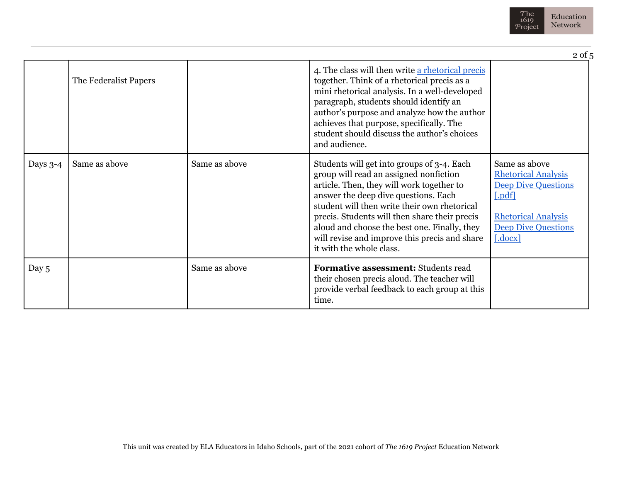

|            |                       |               |                                                                                                                                                                                                                                                                                                                                                                                                         | $2$ of $5$                                                                                                                                                            |
|------------|-----------------------|---------------|---------------------------------------------------------------------------------------------------------------------------------------------------------------------------------------------------------------------------------------------------------------------------------------------------------------------------------------------------------------------------------------------------------|-----------------------------------------------------------------------------------------------------------------------------------------------------------------------|
|            | The Federalist Papers |               | 4. The class will then write a rhetorical precis<br>together. Think of a rhetorical precis as a<br>mini rhetorical analysis. In a well-developed<br>paragraph, students should identify an<br>author's purpose and analyze how the author<br>achieves that purpose, specifically. The<br>student should discuss the author's choices<br>and audience.                                                   |                                                                                                                                                                       |
| Days $3-4$ | Same as above         | Same as above | Students will get into groups of 3-4. Each<br>group will read an assigned nonfiction<br>article. Then, they will work together to<br>answer the deep dive questions. Each<br>student will then write their own rhetorical<br>precis. Students will then share their precis<br>aloud and choose the best one. Finally, they<br>will revise and improve this precis and share<br>it with the whole class. | Same as above<br><b>Rhetorical Analysis</b><br><b>Deep Dive Questions</b><br>[.pdf]<br><b>Rhetorical Analysis</b><br><b>Deep Dive Questions</b><br>$[.\mathrm{docx}]$ |
| Day 5      |                       | Same as above | <b>Formative assessment: Students read</b><br>their chosen precis aloud. The teacher will<br>provide verbal feedback to each group at this<br>time.                                                                                                                                                                                                                                                     |                                                                                                                                                                       |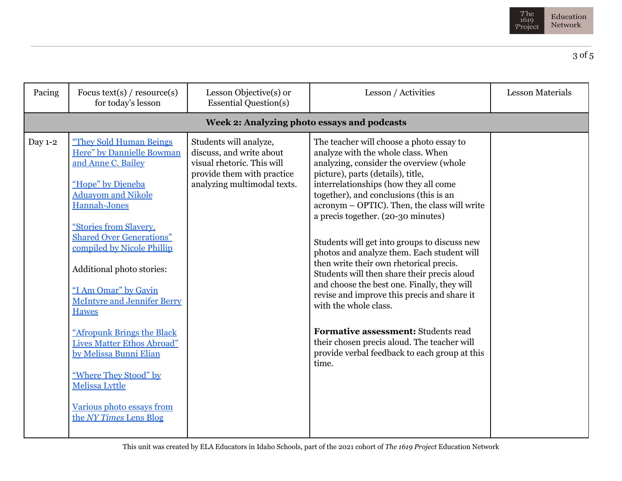

| Pacing  | Focus text(s) / $resource(s)$<br>for today's lesson                                                                                                                                                                                                                                                                                                                                                                                                                                                                                                      | Lesson Objective(s) or<br><b>Essential Question(s)</b>                                                                                        | Lesson / Activities                                                                                                                                                                                                                                                                                                                                                                                                                                                                                                                                                                                                                                                                                                                                                                                    | <b>Lesson Materials</b> |
|---------|----------------------------------------------------------------------------------------------------------------------------------------------------------------------------------------------------------------------------------------------------------------------------------------------------------------------------------------------------------------------------------------------------------------------------------------------------------------------------------------------------------------------------------------------------------|-----------------------------------------------------------------------------------------------------------------------------------------------|--------------------------------------------------------------------------------------------------------------------------------------------------------------------------------------------------------------------------------------------------------------------------------------------------------------------------------------------------------------------------------------------------------------------------------------------------------------------------------------------------------------------------------------------------------------------------------------------------------------------------------------------------------------------------------------------------------------------------------------------------------------------------------------------------------|-------------------------|
|         |                                                                                                                                                                                                                                                                                                                                                                                                                                                                                                                                                          | Week 2: Analyzing photo essays and podcasts                                                                                                   |                                                                                                                                                                                                                                                                                                                                                                                                                                                                                                                                                                                                                                                                                                                                                                                                        |                         |
| Day 1-2 | "They Sold Human Beings<br>Here" by Dannielle Bowman<br>and Anne C. Bailey<br>"Hope" by Dieneba<br><b>Aduayom and Nikole</b><br>Hannah-Jones<br>"Stories from Slavery,<br><b>Shared Over Generations"</b><br>compiled by Nicole Phillip<br>Additional photo stories:<br>"I Am Omar" by Gavin<br><b>McIntyre and Jennifer Berry</b><br><b>Hawes</b><br>"Afropunk Brings the Black<br><b>Lives Matter Ethos Abroad"</b><br>by Melissa Bunni Elian<br>"Where They Stood" by<br><b>Melissa Lyttle</b><br>Various photo essays from<br>the NY Times Lens Blog | Students will analyze,<br>discuss, and write about<br>visual rhetoric. This will<br>provide them with practice<br>analyzing multimodal texts. | The teacher will choose a photo essay to<br>analyze with the whole class. When<br>analyzing, consider the overview (whole<br>picture), parts (details), title,<br>interrelationships (how they all come<br>together), and conclusions (this is an<br>acronym - OPTIC). Then, the class will write<br>a precis together. (20-30 minutes)<br>Students will get into groups to discuss new<br>photos and analyze them. Each student will<br>then write their own rhetorical precis.<br>Students will then share their precis aloud<br>and choose the best one. Finally, they will<br>revise and improve this precis and share it<br>with the whole class.<br>Formative assessment: Students read<br>their chosen precis aloud. The teacher will<br>provide verbal feedback to each group at this<br>time. |                         |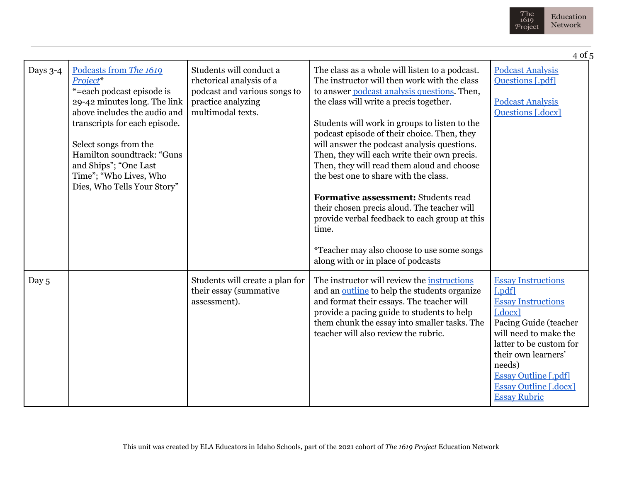

|          |                                                                                                                                                                                                                                                                                                           |                                                                                                                                |                                                                                                                                                                                                                                                                                                                                                                                                                                                                                                                                                                                                                                                                                                                    | 4 of 5                                                                                                                                                                                                                                                                                 |
|----------|-----------------------------------------------------------------------------------------------------------------------------------------------------------------------------------------------------------------------------------------------------------------------------------------------------------|--------------------------------------------------------------------------------------------------------------------------------|--------------------------------------------------------------------------------------------------------------------------------------------------------------------------------------------------------------------------------------------------------------------------------------------------------------------------------------------------------------------------------------------------------------------------------------------------------------------------------------------------------------------------------------------------------------------------------------------------------------------------------------------------------------------------------------------------------------------|----------------------------------------------------------------------------------------------------------------------------------------------------------------------------------------------------------------------------------------------------------------------------------------|
| Days 3-4 | Podcasts from The 1619<br>Project*<br>*=each podcast episode is<br>29-42 minutes long. The link<br>above includes the audio and<br>transcripts for each episode.<br>Select songs from the<br>Hamilton soundtrack: "Guns<br>and Ships"; "One Last<br>Time"; "Who Lives, Who<br>Dies, Who Tells Your Story" | Students will conduct a<br>rhetorical analysis of a<br>podcast and various songs to<br>practice analyzing<br>multimodal texts. | The class as a whole will listen to a podcast.<br>The instructor will then work with the class<br>to answer podcast analysis questions. Then,<br>the class will write a precis together.<br>Students will work in groups to listen to the<br>podcast episode of their choice. Then, they<br>will answer the podcast analysis questions.<br>Then, they will each write their own precis.<br>Then, they will read them aloud and choose<br>the best one to share with the class.<br>Formative assessment: Students read<br>their chosen precis aloud. The teacher will<br>provide verbal feedback to each group at this<br>time.<br>*Teacher may also choose to use some songs<br>along with or in place of podcasts | <b>Podcast Analysis</b><br><b>Questions</b> [.pdf]<br><b>Podcast Analysis</b><br>Questions [.docx]                                                                                                                                                                                     |
| Day 5    |                                                                                                                                                                                                                                                                                                           | Students will create a plan for<br>their essay (summative<br>assessment).                                                      | The instructor will review the instructions<br>and an outline to help the students organize<br>and format their essays. The teacher will<br>provide a pacing guide to students to help<br>them chunk the essay into smaller tasks. The<br>teacher will also review the rubric.                                                                                                                                                                                                                                                                                                                                                                                                                                     | <b>Essay Instructions</b><br>$[$ .pdf]<br><b>Essay Instructions</b><br>$[.\mathrm{docx}]$<br>Pacing Guide (teacher<br>will need to make the<br>latter to be custom for<br>their own learners'<br>needs)<br><b>Essay Outline [.pdf]</b><br>Essay Outline [.docx]<br><b>Essay Rubric</b> |